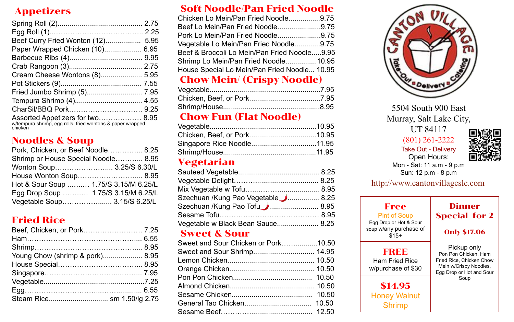# Appetizers

| Beef Curry Fried Wonton (12) 5.95 |  |
|-----------------------------------|--|
| Paper Wrapped Chicken (10) 6.95   |  |
|                                   |  |
|                                   |  |
| Cream Cheese Wontons (8) 5.95     |  |
|                                   |  |
| Fried Jumbo Shrimp (5) 7.95       |  |
|                                   |  |
| CharSil/BBQ Pork 9.25             |  |
|                                   |  |

### Noodles & Soup

| Pork, Chicken, or Beef Noodle 8.25    |  |
|---------------------------------------|--|
| Shrimp or House Special Noodle 8.95   |  |
| Wonton Soup 3.25/S 6.30/L             |  |
| House Wonton Soup 8.95                |  |
| Hot & Sour Soup  1.75/S 3.15/M 6.25/L |  |
| Egg Drop Soup  1.75/S 3.15/M 6.25/L   |  |
| Vegetable Soup 3.15/S 6.25/L          |  |

# Fried Rice

| Beef, Chicken, or Pork 7.25     |  |
|---------------------------------|--|
|                                 |  |
|                                 |  |
| Young Chow (shrimp & pork) 8.95 |  |
|                                 |  |
|                                 |  |
|                                 |  |
|                                 |  |
|                                 |  |

### Soft Noodle/Pan Fried Noodle

| Chicken Lo Mein/Pan Fried Noodle9.75         |  |
|----------------------------------------------|--|
| Beef Lo Mein/Pan Fried Noodle9.75            |  |
| Pork Lo Mein/Pan Fried Noodle9.75            |  |
| Vegetable Lo Mein/Pan Fried Noodle9.75       |  |
| Beef & Broccoli Lo Mein/Pan Fried Noodle9.95 |  |
| Shrimp Lo Mein/Pan Fried Noodle10.95         |  |
| House Special Lo Mein/Pan Fried Noodle 10.95 |  |
|                                              |  |

### Chow Mein/ (Crispy Noodle)

### Chow Fun (Flat Noodle)

### Vegetarian

| Szechuan /Kung Pao Vegetable ■  8.25 |  |
|--------------------------------------|--|
|                                      |  |
|                                      |  |
| Vegetable w Black Bean Sauce 8.25    |  |

#### Sweet & Sour

| Sweet and Sour Chicken or Pork10.50 |  |
|-------------------------------------|--|
| Sweet and Sour Shrimp 14.95         |  |
|                                     |  |
|                                     |  |
|                                     |  |
|                                     |  |
|                                     |  |
|                                     |  |
|                                     |  |



5504 South 900 East Murray, Salt Lake City, UT 84117 Take Out - Delivery [\(801\) 261-2222](https://www.google.com/search?q=canton+village&source=lmns&bih=969&biw=1920&rlz=1C1PRFI_enUS831US831&hl=en&sa=X&ved=2ahUKEwi8yMGehbTxAhWEpp4KHa-wD74Q_AUoAHoECAEQAA#) Open Hours:



Mon - Sat: 11 a.m - 9 p.m Sun: 12 p.m - 8 p.m

#### http://www.cantonvillageslc.com

| Free<br><b>Pint of Soup</b><br>Egg Drop or Hot & Sour<br>soup w/any purchase of<br>\$15+ | <b>Dinner</b><br><b>Special for 2</b><br><b>Only \$17.06</b>                                                          |
|------------------------------------------------------------------------------------------|-----------------------------------------------------------------------------------------------------------------------|
| FREE<br>Ham Fried Rice<br>w/purchase of \$30                                             | Pickup only<br>Pon Pon Chicken, Ham<br>Fried Rice, Chicken Chow<br>Mein w/Crispy Noodles,<br>Egg Drop or Hot and Sour |
| \$14.95<br><b>Honey Walnut</b><br><b>Shrimp</b>                                          | Soup                                                                                                                  |